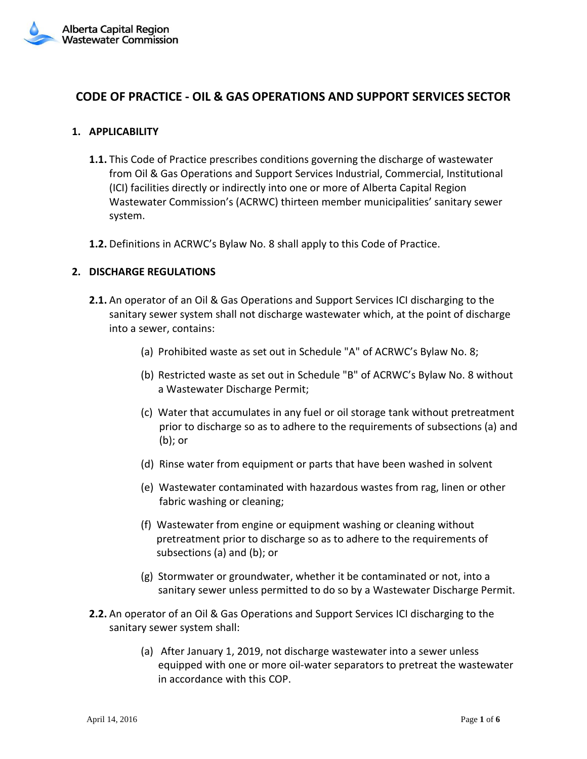# **CODE OF PRACTICE - OIL & GAS OPERATIONS AND SUPPORT SERVICES SECTOR**

## **1. APPLICABILITY**

- **1.1.** This Code of Practice prescribes conditions governing the discharge of wastewater from Oil & Gas Operations and Support Services Industrial, Commercial, Institutional (ICI) facilities directly or indirectly into one or more of Alberta Capital Region Wastewater Commission's (ACRWC) thirteen member municipalities' sanitary sewer system.
- **1.2.** Definitions in ACRWC's Bylaw No. 8 shall apply to this Code of Practice.

### **2. DISCHARGE REGULATIONS**

- **2.1.** An operator of an Oil & Gas Operations and Support Services ICI discharging to the sanitary sewer system shall not discharge wastewater which, at the point of discharge into a sewer, contains:
	- (a) Prohibited waste as set out in Schedule "A" of ACRWC's Bylaw No. 8;
	- (b) Restricted waste as set out in Schedule "B" of ACRWC's Bylaw No. 8 without a Wastewater Discharge Permit;
	- (c) Water that accumulates in any fuel or oil storage tank without pretreatment prior to discharge so as to adhere to the requirements of subsections (a) and (b); or
	- (d) Rinse water from equipment or parts that have been washed in solvent
	- (e) Wastewater contaminated with hazardous wastes from rag, linen or other fabric washing or cleaning;
	- (f) Wastewater from engine or equipment washing or cleaning without pretreatment prior to discharge so as to adhere to the requirements of subsections (a) and (b); or
	- (g) Stormwater or groundwater, whether it be contaminated or not, into a sanitary sewer unless permitted to do so by a Wastewater Discharge Permit.
- **2.2.** An operator of an Oil & Gas Operations and Support Services ICI discharging to the sanitary sewer system shall:
	- (a) After January 1, 2019, not discharge wastewater into a sewer unless equipped with one or more oil-water separators to pretreat the wastewater in accordance with this COP.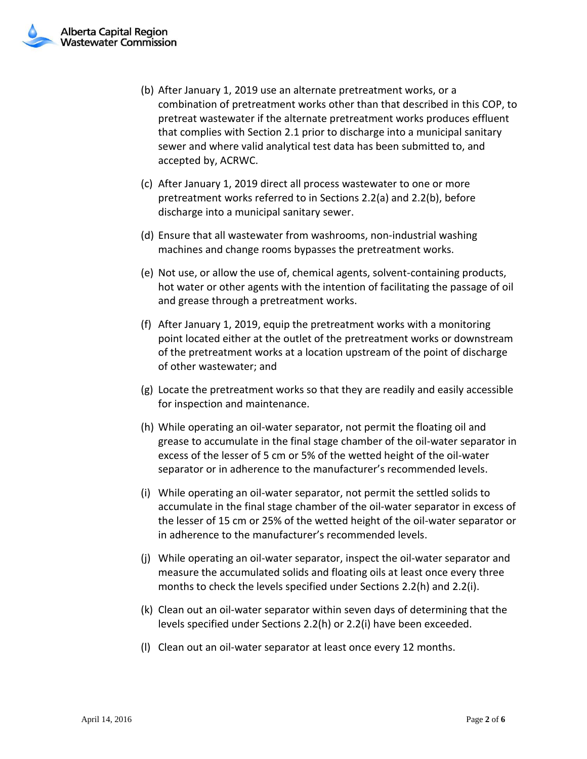- (b) After January 1, 2019 use an alternate pretreatment works, or a combination of pretreatment works other than that described in this COP, to pretreat wastewater if the alternate pretreatment works produces effluent that complies with Section 2.1 prior to discharge into a municipal sanitary sewer and where valid analytical test data has been submitted to, and accepted by, ACRWC.
- (c) After January 1, 2019 direct all process wastewater to one or more pretreatment works referred to in Sections 2.2(a) and 2.2(b), before discharge into a municipal sanitary sewer.
- (d) Ensure that all wastewater from washrooms, non-industrial washing machines and change rooms bypasses the pretreatment works.
- (e) Not use, or allow the use of, chemical agents, solvent-containing products, hot water or other agents with the intention of facilitating the passage of oil and grease through a pretreatment works.
- (f) After January 1, 2019, equip the pretreatment works with a monitoring point located either at the outlet of the pretreatment works or downstream of the pretreatment works at a location upstream of the point of discharge of other wastewater; and
- (g) Locate the pretreatment works so that they are readily and easily accessible for inspection and maintenance.
- (h) While operating an oil-water separator, not permit the floating oil and grease to accumulate in the final stage chamber of the oil-water separator in excess of the lesser of 5 cm or 5% of the wetted height of the oil-water separator or in adherence to the manufacturer's recommended levels.
- (i) While operating an oil-water separator, not permit the settled solids to accumulate in the final stage chamber of the oil-water separator in excess of the lesser of 15 cm or 25% of the wetted height of the oil-water separator or in adherence to the manufacturer's recommended levels.
- (j) While operating an oil-water separator, inspect the oil-water separator and measure the accumulated solids and floating oils at least once every three months to check the levels specified under Sections 2.2(h) and 2.2(i).
- (k) Clean out an oil-water separator within seven days of determining that the levels specified under Sections 2.2(h) or 2.2(i) have been exceeded.
- (l) Clean out an oil-water separator at least once every 12 months.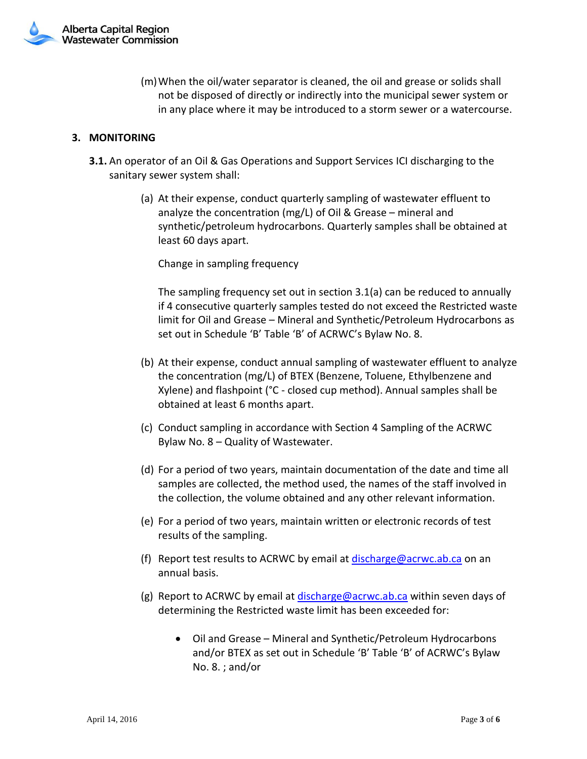

(m)When the oil/water separator is cleaned, the oil and grease or solids shall not be disposed of directly or indirectly into the municipal sewer system or in any place where it may be introduced to a storm sewer or a watercourse.

#### **3. MONITORING**

- **3.1.** An operator of an Oil & Gas Operations and Support Services ICI discharging to the sanitary sewer system shall:
	- (a) At their expense, conduct quarterly sampling of wastewater effluent to analyze the concentration (mg/L) of Oil & Grease – mineral and synthetic/petroleum hydrocarbons. Quarterly samples shall be obtained at least 60 days apart.

Change in sampling frequency

The sampling frequency set out in section 3.1(a) can be reduced to annually if 4 consecutive quarterly samples tested do not exceed the Restricted waste limit for Oil and Grease – Mineral and Synthetic/Petroleum Hydrocarbons as set out in Schedule 'B' Table 'B' of ACRWC's Bylaw No. 8.

- (b) At their expense, conduct annual sampling of wastewater effluent to analyze the concentration (mg/L) of BTEX (Benzene, Toluene, Ethylbenzene and Xylene) and flashpoint (°C - closed cup method). Annual samples shall be obtained at least 6 months apart.
- (c) Conduct sampling in accordance with Section 4 Sampling of the ACRWC Bylaw No. 8 – Quality of Wastewater.
- (d) For a period of two years, maintain documentation of the date and time all samples are collected, the method used, the names of the staff involved in the collection, the volume obtained and any other relevant information.
- (e) For a period of two years, maintain written or electronic records of test results of the sampling.
- (f) Report test results to ACRWC by email at [discharge@acrwc.ab.ca](mailto:discharge@acrwc.ab.ca) on an annual basis.
- (g) Report to ACRWC by email at [discharge@acrwc.ab.ca](mailto:discharge@acrwc.ab.ca) within seven days of determining the Restricted waste limit has been exceeded for:
	- Oil and Grease Mineral and Synthetic/Petroleum Hydrocarbons and/or BTEX as set out in Schedule 'B' Table 'B' of ACRWC's Bylaw No. 8. ; and/or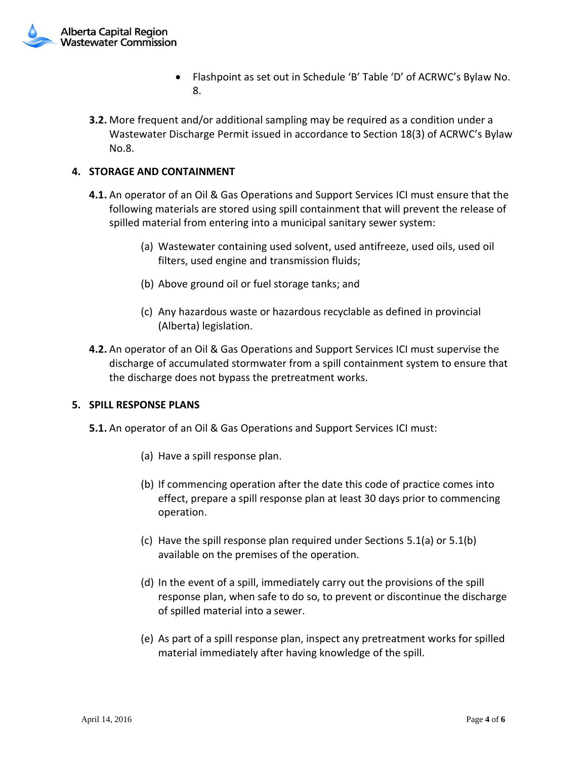

- Flashpoint as set out in Schedule 'B' Table 'D' of ACRWC's Bylaw No. 8.
- **3.2.** More frequent and/or additional sampling may be required as a condition under a Wastewater Discharge Permit issued in accordance to Section 18(3) of ACRWC's Bylaw No.8.

## **4. STORAGE AND CONTAINMENT**

- **4.1.** An operator of an Oil & Gas Operations and Support Services ICI must ensure that the following materials are stored using spill containment that will prevent the release of spilled material from entering into a municipal sanitary sewer system:
	- (a) Wastewater containing used solvent, used antifreeze, used oils, used oil filters, used engine and transmission fluids;
	- (b) Above ground oil or fuel storage tanks; and
	- (c) Any hazardous waste or hazardous recyclable as defined in provincial (Alberta) legislation.
- **4.2.** An operator of an Oil & Gas Operations and Support Services ICI must supervise the discharge of accumulated stormwater from a spill containment system to ensure that the discharge does not bypass the pretreatment works.

#### **5. SPILL RESPONSE PLANS**

- **5.1.** An operator of an Oil & Gas Operations and Support Services ICI must:
	- (a) Have a spill response plan.
	- (b) If commencing operation after the date this code of practice comes into effect, prepare a spill response plan at least 30 days prior to commencing operation.
	- (c) Have the spill response plan required under Sections 5.1(a) or 5.1(b) available on the premises of the operation.
	- (d) In the event of a spill, immediately carry out the provisions of the spill response plan, when safe to do so, to prevent or discontinue the discharge of spilled material into a sewer.
	- (e) As part of a spill response plan, inspect any pretreatment works for spilled material immediately after having knowledge of the spill.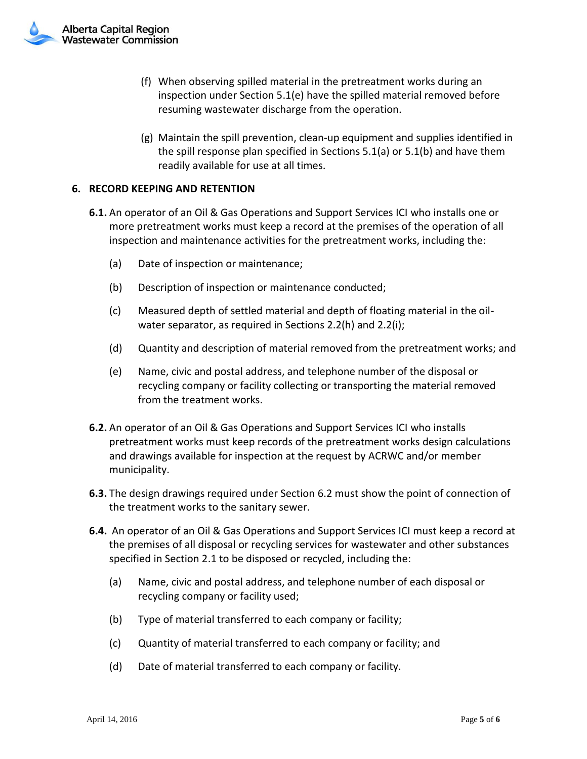

- (f) When observing spilled material in the pretreatment works during an inspection under Section 5.1(e) have the spilled material removed before resuming wastewater discharge from the operation.
- (g) Maintain the spill prevention, clean-up equipment and supplies identified in the spill response plan specified in Sections 5.1(a) or 5.1(b) and have them readily available for use at all times.

### **6. RECORD KEEPING AND RETENTION**

- **6.1.** An operator of an Oil & Gas Operations and Support Services ICI who installs one or more pretreatment works must keep a record at the premises of the operation of all inspection and maintenance activities for the pretreatment works, including the:
	- (a) Date of inspection or maintenance;
	- (b) Description of inspection or maintenance conducted;
	- (c) Measured depth of settled material and depth of floating material in the oilwater separator, as required in Sections 2.2(h) and 2.2(i);
	- (d) Quantity and description of material removed from the pretreatment works; and
	- (e) Name, civic and postal address, and telephone number of the disposal or recycling company or facility collecting or transporting the material removed from the treatment works.
- **6.2.** An operator of an Oil & Gas Operations and Support Services ICI who installs pretreatment works must keep records of the pretreatment works design calculations and drawings available for inspection at the request by ACRWC and/or member municipality.
- **6.3.** The design drawings required under Section 6.2 must show the point of connection of the treatment works to the sanitary sewer.
- **6.4.** An operator of an Oil & Gas Operations and Support Services ICI must keep a record at the premises of all disposal or recycling services for wastewater and other substances specified in Section 2.1 to be disposed or recycled, including the:
	- (a) Name, civic and postal address, and telephone number of each disposal or recycling company or facility used;
	- (b) Type of material transferred to each company or facility;
	- (c) Quantity of material transferred to each company or facility; and
	- (d) Date of material transferred to each company or facility.